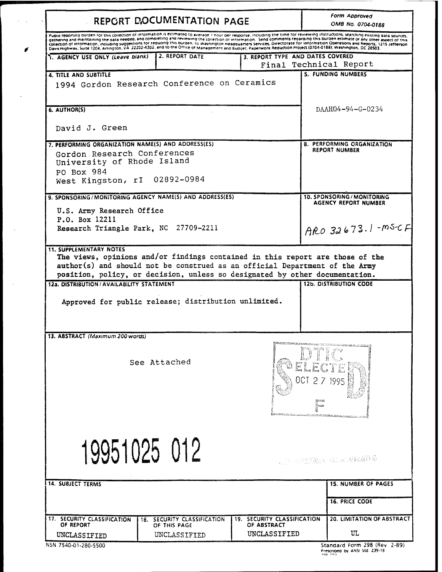| REPORT DOCUMENTATION PAGE                                                                                                                                     |                                                                                                                                                                      |                                                                   | Form Approved<br>OMB No. 0704-0188                                                                                                                                                                                                                                                                                                                                                                                                                                                                                                                               |
|---------------------------------------------------------------------------------------------------------------------------------------------------------------|----------------------------------------------------------------------------------------------------------------------------------------------------------------------|-------------------------------------------------------------------|------------------------------------------------------------------------------------------------------------------------------------------------------------------------------------------------------------------------------------------------------------------------------------------------------------------------------------------------------------------------------------------------------------------------------------------------------------------------------------------------------------------------------------------------------------------|
|                                                                                                                                                               | Construction of the 1204, Arlington, VA 22202-4302, and to the Office of Management and Budget, Paperwork Reduction Project (0704-0188). Washington, DC 20503, Cases |                                                                   | Puplic reporting burden for this collection of information is estimated to average 1 hour per response, including the time for reviewing instructions, searching existing gata sources.<br>asthering and maintaining the data needed, and completing and reviewing the collection of information. Send comments regarding this burden estimate or any other aspect of this<br>collection of information, including suggestions for reducing this burgen, to Washington Headquarters Services, Directorate for information Operations and Reports, 1215 Jefferson |
| 1. AGENCY USE ONLY (Leave blank)                                                                                                                              | 2. REPORT DATE                                                                                                                                                       | 3. REPORT TYPE AND DATES COVERED                                  | Final Technical Report                                                                                                                                                                                                                                                                                                                                                                                                                                                                                                                                           |
| <b>4. TITLE AND SUBTITLE</b>                                                                                                                                  | 1994 Gordon Research Conference on Ceramics                                                                                                                          |                                                                   | <b>5. FUNDING NUMBERS</b>                                                                                                                                                                                                                                                                                                                                                                                                                                                                                                                                        |
| 6. AUTHOR(S)                                                                                                                                                  |                                                                                                                                                                      |                                                                   | DAAH04-94-G-0234                                                                                                                                                                                                                                                                                                                                                                                                                                                                                                                                                 |
| David J. Green                                                                                                                                                |                                                                                                                                                                      |                                                                   |                                                                                                                                                                                                                                                                                                                                                                                                                                                                                                                                                                  |
| 7. PERFORMING ORGANIZATION NAME(S) AND ADDRESS(ES)<br>Gordon Research Conferences<br>University of Rhode Island<br>PO Box 984<br>West Kingston, rI 02892-0984 |                                                                                                                                                                      |                                                                   | <b>8. PERFORMING ORGANIZATION</b><br><b>REPORT NUMBER</b>                                                                                                                                                                                                                                                                                                                                                                                                                                                                                                        |
| 9. SPONSORING/MONITORING AGENCY NAME(S) AND ADDRESS(ES)<br>U.S. Army Research Office<br>P.O. Box 12211                                                        |                                                                                                                                                                      |                                                                   | <b>10. SPONSORING / MONITORING</b><br><b>AGENCY REPORT NUMBER</b>                                                                                                                                                                                                                                                                                                                                                                                                                                                                                                |
| Research Triangle Park, NC 27709-2211                                                                                                                         |                                                                                                                                                                      |                                                                   | $AB032673.1 - 05-CF$                                                                                                                                                                                                                                                                                                                                                                                                                                                                                                                                             |
|                                                                                                                                                               | Approved for public release; distribution unlimited.                                                                                                                 |                                                                   |                                                                                                                                                                                                                                                                                                                                                                                                                                                                                                                                                                  |
| 13. ABSTRACT (Maximum 200 words)                                                                                                                              |                                                                                                                                                                      |                                                                   |                                                                                                                                                                                                                                                                                                                                                                                                                                                                                                                                                                  |
|                                                                                                                                                               | See Attached                                                                                                                                                         |                                                                   | 1995<br>صعجز                                                                                                                                                                                                                                                                                                                                                                                                                                                                                                                                                     |
|                                                                                                                                                               | 19951025 012                                                                                                                                                         |                                                                   | THE STATISTICS CONSIDERING                                                                                                                                                                                                                                                                                                                                                                                                                                                                                                                                       |
|                                                                                                                                                               |                                                                                                                                                                      |                                                                   | <b>15. NUMBER OF PAGES</b>                                                                                                                                                                                                                                                                                                                                                                                                                                                                                                                                       |
|                                                                                                                                                               |                                                                                                                                                                      |                                                                   | <b>16. PRICE CODE</b>                                                                                                                                                                                                                                                                                                                                                                                                                                                                                                                                            |
| <b>14. SUBJECT TERMS</b><br>17. SECURITY CLASSIFICATION<br>OF REPORT<br>UNCLASSIFIED                                                                          | SECURITY CLASSIFICATION<br>18.<br>OF THIS PAGE<br>UNCLASSIFIED                                                                                                       | <b>19. SECURITY CLASSIFICATION</b><br>OF ABSTRACT<br>UNCLASSIFIED | <b>20. LIMITATION OF ABSTRACT</b><br>UΤ                                                                                                                                                                                                                                                                                                                                                                                                                                                                                                                          |

 $\ddot{\phantom{0}}$  $\sim$ 

 $\mathcal{L}_{\text{max}}$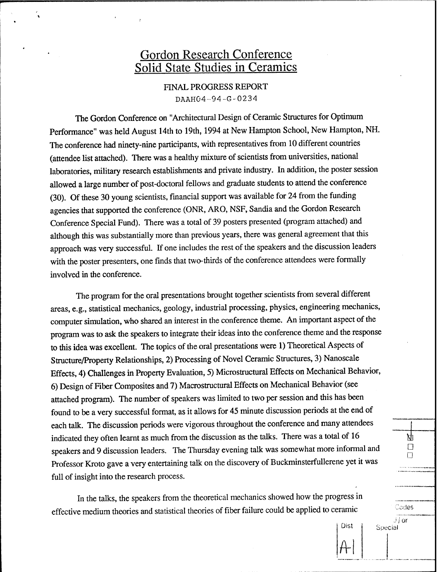## Gordon Research Conference Solid State Studies in Ceramics

FINAL PROGRESS REPORT DAAH04-94-G-0234

The Gordon Conference on "Architectural Design of Ceramic Structures for Optimum Performance" was held August 14th to 19th, 1994 at New Hampton School, New Hampton, NH. The conference had ninety-nine participants, with representatives from 10 different countries (attendee list attached). There was a healthy mixture of scientists from universities, national laboratories, military research establishments and private industry. In addition, the poster session allowed a large number of post-doctoral fellows and graduate students to attend the conference (30). Of these 30 young scientists, financial support was available for 24 from the funding agencies that supported the conference (ONR, ARO, NSF, Sandia and the Gordon Research Conference Special Fund). There was a total of 39 posters presented (program attached) and although this was substantially more than previous years, there was general agreement that this approach was very successful. If one includes the rest of the speakers and the discussion leaders with the poster presenters, one finds that two-thirds of the conference attendees were formally involved in the conference.

The program for the oral presentations brought together scientists from several different areas, e.g., statistical mechanics, geology, industrial processing, physics, engineering mechanics, computer simulation, who shared an interest in the conference theme. An important aspect of the program was to ask the speakers to integrate their ideas into the conference theme and the response to this idea was excellent. The topics of the oral presentations were 1) Theoretical Aspects of Structure/Property Relationships, 2) Processing of Novel Ceramic Structures, 3) Nanoscale Effects, 4) Challenges in Property Evaluation, 5) Microstructural Effects on Mechanical Behavior, 6) Design of Fiber Composites and 7) Macrostructural Effects on Mechanical Behavior (see attached program). The number of speakers was limited to two per session and this has been found to be a very successful format, as it allows for 45 minute discussion periods at the end of each talk. The discussion periods were vigorous throughout the conference and many attendees indicated they often learnt as much from the discussion as the talks. There was a total of 16 speakers and 9 discussion leaders. The Thursday evening talk was somewhat more informal and Professor Kroto gave a very entertaining talk on the discovery of Buckminsterfullerene yet it was full of insight into the research process.

In the talks, the speakers from the theoretical mechanics showed how the progress in effective medium theories and statistical theories of fiber failure could be applied to ceramic

> Dist **A-l**

**D D**

. . . . . . . . . . . . . . .

Д

Cedes

j/or

Special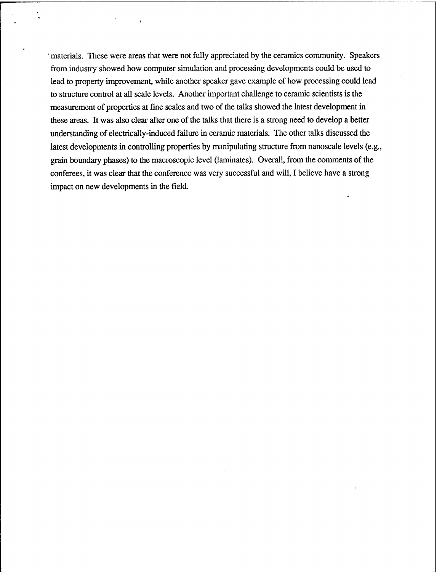' materials. These were areas that were not fully appreciated by the ceramics community. Speakers from industry showed how computer simulation and processing developments could be used to lead to property improvement, while another speaker gave example of how processing could lead to structure control at all scale levels. Another important challenge to ceramic scientists is the measurement of properties at fine scales and two of the talks showed the latest development in these areas. It was also clear after one of the talks that there is a strong need to develop a better understanding of electrically-induced failure in ceramic materials. The other talks discussed the latest developments in controlling properties by manipulating structure from nanoscale levels (e.g., grain boundary phases) to the macroscopic level (laminates). Overall, from the comments of the conferees, it was clear that the conference was very successful and will, I believe have a strong impact on new developments in the field.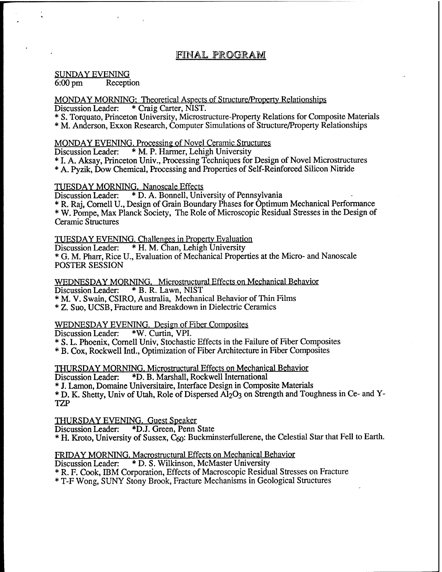## FINAL PROGRAM

# SUNDAY EVENING<br>6:00 pm Recepti

Reception

#### MONDAY MORNING: Theoretical Aspects of Structure/Property Relationships<br>Discussion Leader: \* Craig Carter, NIST. \* Craig Carter, NIST.

\* S. Torquato, Princeton University, Microstructure-Property Relations for Composite Materials

\* M. Anderson, Exxon Research, Computer Simulations of Structure/Property Relationships

# MONDAY EVENING. Processing of Novel Ceramic Structures<br>Discussion Leader: \* M. P. Harmer, Lehigh University

\* M. P. Harmer, Lehigh University

\* I. A. Aksay, Princeton Univ., Processing Techniques for Design of Novel Microstructures

\* A. Pyzik, Dow Chemical, Processing and Properties of Self-Reinforced Silicon Nitride

# **TUESDAY MORNING. Nanoscale Effects**<br>Discussion Leader: \* D. A. Bonnell, Univ

\* D. A. Bonnell, University of Pennsylvania

\* R. Raj, Cornell U., Design of Grain Boundary Phases for Optimum Mechanical Performance \* W. Pompe, Max Planck Society, The Role of Microscopic Residual Stresses in the Design of Ceramic Structures

# TUESDAY EVENING. Challenges in Property Evaluation<br>Discussion Leader: \* H. M. Chan, Lehigh University

\* H. M. Chan, Lehigh University

\* G. M. Pharr, Rice U., Evaluation of Mechanical Properties at the Micro- and Nanoscale POSTER SESSION

WEDNESDAY MORNING. Microstructural Effects on Mechanical Behavior<br>Discussion Leader: \* B. R. Lawn, NIST Discussion Leader:

\* M. V. Swain, CSIRO, Australia, Mechanical Behavior of Thin Films

\* Z. Suo, UCSB, Fracture and Breakdown in Dielectric Ceramics

# WEDNESDAY EVENING. Design of Fiber Composites<br>Discussion Leader: \*W. Curtin, VPI.

Discussion Leader:

\* S. L. Phoenix, Cornell Univ, Stochastic Effects in the Failure of Fiber Composites

\* B. Cox, Rockwell Intl., Optimization of Fiber Architecture in Fiber Composites

THURSDAY MORNING. Microstructural Effects on Mechanical Behavior

Discussion Leader: \*D. B. Marshall, Rockwell International

\* J. Lamon, Domaine Universitaire, Interface Design in Composite Materials

\* D. K. Shetty, Univ of Utah, Role of Dispersed AI2O3 on Strength and Toughness in Ce- and Y-TZP

THURSDAY EVENING. Guest Speaker<br>Discussion Leader: \*D.J. Green, Penn

\*D.J. Green, Penn State

\* H. Kioto, University of Sussex, Qo: Buckminsterfullerene, the Celestial Star that Fell to Earth.

### FRIDAY MORNING. Macrostructural Effects on Mechanical Behavior

Discussion Leader: \* D. S. Wilkinson, McMaster University

\* R. F. Cook, IBM Corporation, Effects of Macroscopic Residual Stresses on Fracture

\* T-F Wong, SUNY Stony Brook, Fracture Mechanisms in Geological Structures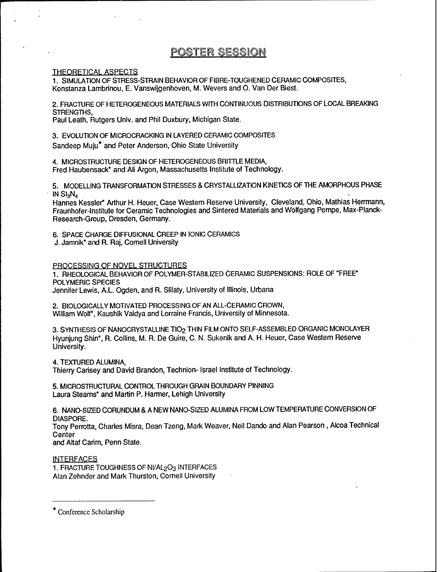## POSTER SESSION

#### THEORETICAL ASPECTS

1. SIMULATION OF STRESS-STRAIN BEHAVIOR OF FIBRE-TOUGHENED CERAMIC COMPOSITES, Konstanza Lambrinou, E. Vanswijgenhoven, M. Wevers and O. Van Der Biest.

2. FRACTURE OF HETEROGENEOUS MATERIALS WITH CONTINUOUS DISTRIBUTIONS OF LOCAL BREAKING STRENGTHS,

Paul Leath, Rutgers Univ. and Phil Duxbury, Michigan State.

3. EVOLUTION OF MICROCRACKING IN LAYERED CERAMIC COMPOSITES Sandeep Muju\* and Peter Anderson, Ohio State University

4. MICROSTRUCTURE DESIGN OF HETEROGENEOUS BRITTLE MEDIA, Fred Haubensack\* and Ali Argon, Massachusetts Institute of Technology.

5. MODELLING TRANSFORMATION STRESSES & CRYSTALLIZATION KINETICS OF THE AMORPHOUS PHASE IN SI3N4

Hannes Kessler\* Arthur H. Heuer, Case Western Reserve University, Cleveland, Ohio, Mathias Herrmann, Fraunhofer-Institute for Ceramic Technologies and Sintered Materials and Wolfgang Pompe, Max-Planck-Research-Group, Dresden, Germany.

6. SPACE CHARGE DIFFUSIONAL CREEP IN IONIC CERAMICS

J. Jamnik\* and R. Raj, Cornell University

PROCESSING OF NOVEL STRUCTURES

1. RHEOLOGICAL BEHAVIOR OF POLYMER-STABILIZED CERAMIC SUSPENSIONS: ROLE OF "FREE" POLYMERIC SPECIES Jennifer Lewis, A.L. Ogden, and R. Slilaty, University of Illinois, Urbana

2. BIOLOGICALLY MOTIVATED PROCESSING OF AN ALL-CERAMIC CROWN, William Wolf\*, Kaushik Vaidya and Lorraine Francis, University of Minnesota.

3. SYNTHESIS OF NANOCRYSTALLINE TIO2 THIN FILM ONTO SELF-ASSEMBLED ORGANIC MONOLAYER Hyunjung Shin\*, R. Collins, M. R. De Guire, C. N. Sukenik and A. H. Heuer, Case Western Reserve University.

4. TEXTURED ALUMINA,

Thierry Carisey and David Brandon, Technion- Israel Institute of Technology.

5. MICROSTRUCTURAL CONTROL THROUGH GRAIN BOUNDARY PINNING Laura Stearns\* and Martin P. Harmer, Lehigh University

6. NANO-SIZED CORUNDUM & A NEW NANO-SIZED ALUMINA FROM LOW TEMPERATURE CONVERSDN OF DIASPORE.

Tony Perrotta, Charles Misra, Dean Tzeng, Mark Weaver, Neil Dando and Alan Pearson, Alcoa Technical Center

and Aftaf Carim, Penn State.

**INTERFACES** 

1. FRACTURE TOUGHNESS OF NI/AL<sub>2</sub>O<sub>3</sub> INTERFACES Alan Zehnder and Mark Thurston, Cornell University

Conference Scholarship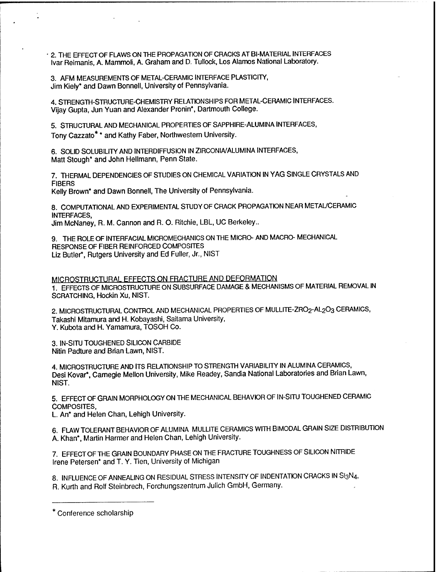2. THE EFFECT OF FLAWS ON THE PROPAGATION OF CRACKS AT BI-MATERIAL INTERFACES Ivar Reimanis, A. Mammoli, A. Graham and D. Tullock, Los Alamos National Laboratory.

3. AFM MEASUREMENTS OF METAL-CERAMIC INTERFACE PLASTICITY, Jim Kiely\* and Dawn Bonnell, University of Pennsylvania.

4. STRENGTH-STRUCTURE-CHEMISTRY RELATDNSHIPS FOR METAL-CERAMIC INTERFACES. Vijay Gupta, Jun Yuan and Alexander Pronin\*, Dartmouth College.

5. STRUCTURAL AND MECHANICAL PROPERTIES OF SAPPHIRE-ALUMINA INTERFACES, Tony Cazzato\* \* and Kathy Faber, Northwestern University.

6. SOLID SOLUBILITY AND INTERDIFFUSION IN ZIRCONIA/ALUMINA INTERFACES, Matt Stough\* and John Hellmann, Penn State.

7. THERMAL DEPENDENCIES OF STUDIES ON CHEMICAL VARIATION IN YAG SINGLE CRYSTALS AND FIBERS

Kelly Brown\* and Dawn Bonnell, The University of Pennsylvania.

8. COMPUTATIONAL AND EXPERIMENTAL STUDY OF CRACK PROPAGATDN NEAR METAL/CERAMIC INTERFACES,

Jim McNaney, R. M. Cannon and R. O. Ritchie, LBL, UC Berkeley..

9. THE ROLE OF INTERFACIAL MICROMECHANICS ON THE MICRO- AND MACRO- MECHANICAL RESPONSE OF FIBER REINFORCED COMPOSITES Liz Butler\*, Rutgers University and Ed Fuller, Jr., NIST

### MICROSTRUCTURAL EFFECTS ON FRACTURE AND DEFORMATION

1. EFFECTS OF MICROSTRUCTURE ON SUBSURFACE DAMAGE & MECHANISMS OF MATERIAL REMOVAL IN SCRATCHING, Hockin Xu, NIST.

2. MICROSTRUCTURAL CONTROL AND MECHANICAL PROPERTIES OF MULLITE-ZRO2-AL2O3 CERAMICS, Takashi Mitamura and H. Kobayashi, Saitama University, Y. Kubota and H. Yamamura, TOSOH Co.

3. IN-SITU TOUGHENED SILICON CARBIDE Nitin Padture and Brian Lawn, NIST.

4. MICROSTRUCTURE AND ITS RELATIONSHIP TO STRENGTH VARIABILITY IN ALUMINA CERAMICS, Desi Kovar\*. Carnegie Mellon University, Mike Readey, Sandia National Laboratories and Brian Lawn, NIST.

5. EFFECT OF GRAIN MORPHOLOGY ON THE MECHANICAL BEHAVIOR OF IN-SITU TOUGHENED CERAMIC COMPOSITES,

L. An\* and Helen Chan, Lehigh University.

6. FLAW TOLERANT BEHAVIOR OF ALUMINA MULLITE CERAMICS WITH BIMODAL GRAIN SIZE DISTRIBUTION A. Khan\*, Martin Harmer and Helen Chan, Lehigh University.

7. EFFECT OF THE GRAIN BOUNDARY PHASE ON THE FRACTURE TOUGHNESS OF SILICON NITRIDE Irene Petersen\* and T. Y. Tien, University of Michigan

8. INFLUENCE OF ANNEALING ON RESIDUAL STRESS INTENSITY OF INDENTATION CRACKS IN SI3N4, R. Kurth and Rolf Steinbrech, Forchungszentrum Julich GmbH, Germany.

<sup>\*</sup> Conference scholarship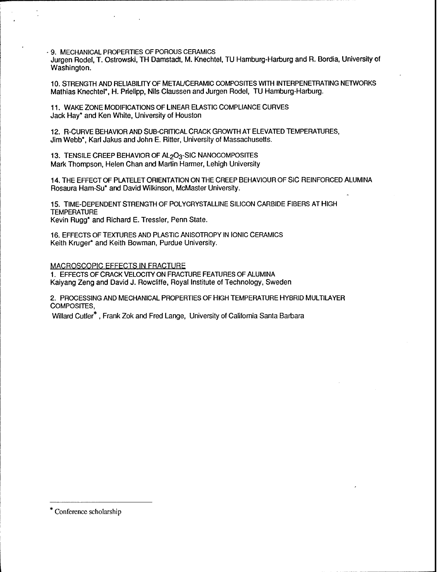9. MECHANICAL PROPERTIES OF POROUS CERAMICS

Jürgen Rodel, T. Ostrowski, TH Damstadt, M. Knechtel, TU Hamburg-Harburg and R. Bordia, University of Washington.

10. STRENGTH AND RELIABILITY OF METAL/CERAMIC COMPOSITES WITH INTERPENETRATING NETWORKS Mathias Knechtel\*, H. Prielipp, Nils Claussen and Jurgen Rodel, TU Hamburg-Harburg.

11. WAKE ZONE MODIFICATIONS OF LINEAR ELASTIC COMPLIANCE CURVES Jack Hay\* and Ken White, University of Houston

12. R-CURVE BEHAVIOR AND SUB-CRITICAL CRACK GROWTH AT ELEVATED TEMPERATURES, Jim Webb\*, Karl Jakus and John E. Ritter, University of Massachusetts.

13. TENSILE CREEP BEHAVIOR OF AL203-SIC NANOCOMPOSITES Mark Thompson, Helen Chan and Martin Harmer, Lehigh University

14. THE EFFECT OF PLATELET ORIENTATION ON THE CREEP BEHAVIOUR OF SIC REINFORCED ALUMINA Rosaura Ham-Su\* and David Wilkinson, McMaster University.

15. TIME-DEPENDENT STRENGTH OF POLYCRYSTALLINE SILICON CARBIDE FIBERS AT HIGH **TEMPERATURE** Kevin Rugg\* and Richard E. Tressler, Penn State.

16. EFFECTS OF TEXTURES AND PLASTIC ANISOTROPY IN IONIC CERAMICS Keith Kruger\* and Keith Bowman, Purdue University.

MACROSCOPIC EFFECTS IN FRACTURE 1. EFFECTS OF CRACK VELOCITY ON FRACTURE FEATURES OF ALUMINA

Kaiyang Zeng and David J. Rowcliffe, Royal Institute of Technology, Sweden

2. PROCESSING AND MECHANICAL PROPERTIES OF HIGH TEMPERATURE HYBRID MULTILAYER COMPOSITES,

Willard Cutler\* , Frank Zok and Fred Lange, University of California Santa Barbara

Conference scholarship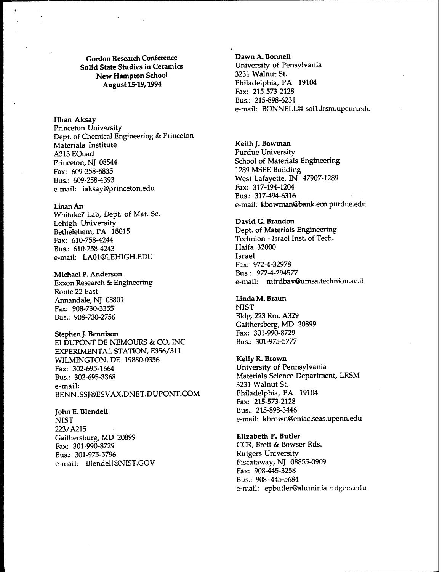**Gordon Research Conference**<br> **Conference Dawn A. Bonnell**<br> **Conference Districts Districts Districts Districts Districts District Solid State Studies in Ceramics** University of Pensilvania University of Pensilvania St.<br>3231 Walnut St. **New Hampton School<br>August 15-19, 1994** 

**.1**

**Ilhan Aksay** Princeton University Dept. of Chemical Engineering & Princeton Materials Institute **Keith J. Bowman** A313 EQuad Purdue University<br>
Princeton, NJ 08544 School of Materials Fax: 609-258-6835 1289 MSEE Building Bus.: 609-258-4393 West Lafayette, IN 47907-1289<br>
e-mail: iaksay@princeton.edu Fax: 317-494-1204 e-mail: iaksay@princeton.edu

Whitake? Lab, Dept. of Mat. Sc. Lehigh University<br>
Bethelehem, PA 18015<br>
Dept. of Materials Fax: 610-758-4244<br>
Fax: 610-758-4244<br>
Bus: 610-758-4243<br>
Haifa 32000 Bus.: 610-758-4243 **Haifa** 3200001 Haifa 320001 Haifa 320001 Haifa 320001 Haifa 320001 Haifa 320001 Haifa 32000<br>Sanaji: 1 A01@I EHIGH EDII e-mail: LA01@LEHIGH.EDU

Michael P. Anderson<br>Exxon Research & Engineering **Bus.: 972-4-294577**<br>e-mail: mtrdbav@ Route 22 East Annandale,NJ 08801 **Linda M. Braun** Fax: 908-730-3355<br>Bus · 908-730-2756 NIST Bldg. 223 Rm. A329 Bus.: 908-730-2756

**Stephen J. Bennison** Fax: 301-990-8729<br>
FI DUPONT DE NEMOURS & CO. INC Bus.: 301-975-5777 EI DUPONT DE NEMOURS & CO, INC. EXPERIMENTAL STATION, E356/311 WILMINGTON, DE 19880-0356 Kelly **R. Brown** Fax: 302-695-1664 University **of** Pennsylvania Bus.: 302-695-3368 Materials Science Department, LRSM e-mail: 3231 Walnut **St.** BENNISSJ@ESVAX.DNET.DUPONT.COM

**John E. Blendell** Bus.: 215-898-3446 223/A215 Gaithersburg, MD 20899 **Elizabeth P. Butler** Fax: 301-990-8729 CCR, Brett & Bowser Rds. Bus.: 301-975-5796 Rutgers University e-mail: Blendell@NIST.GOV

**August 15-19,1994** Philadelphia, PA 19104 Fax: 215-573-2128 Bus.: 215-898-6231 e-mail: BONNELL® soll.lrsm.upenn.edu

School of Materials Engineering Bus.: 317-494-6316 **LinanAn** e-mail: kbowman@bank.ecn.purdue.edu

> Dept. of Materials Engineering Fax: 972-4-32978 e-mail: mtrdbav@umsa.technion.ac.il

Gaithersberg, MD 20899<br>Fax: 301-990-8729

Fax: 215-573-2128 NIST e-mail: kbrown@eniac.seas.upenn.edu

> Fax: 908-445-3258 Bus.: 908-445-5684 e-mail: epbutler@aluminia.rutgers.edu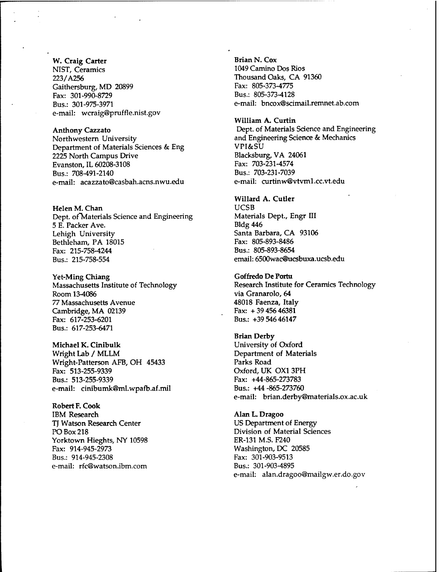### W. Craig Carter

NIST, Ceramics 223/A256 Gaithersburg, MD 20899 Fax: 301-990-8729 Bus.: 301-975-3971 e-mail: wcraig@pruffle.nist.gov

Anthony Cazzato Northwestern University Department of Materials Sciences & Eng 2225 North Campus Drive Evanston, IL 60208-3108 Bus.: 708-491-2140 e-mail: acazzato@casbah.acns.nwu.edu

Helen M. Chan Dept. of"Materials Science and Engineering 5 E. Packer Ave. Lehigh University Bethleham, PA 18015 Fax: 215-758-4244 Bus.: 215-758-554

Yet-Ming Chiang Massachusetts Institute of Technology Room 13-4086 *77* Massachusetts Avenue Cambridge, MA 02139 Fax: 617-253-6201 Bus.: 617-253-6471

Michael K. Cinibulk Wright Lab / MLLM Wright-Patterson AFB, OH 45433 Fax: 513-255-9339 Bus.: 513-255-9339 e-mail: cinibumk@ml.wpafb.af.mil

Robert F.Cook IBM Research TJ Watson Research Center PO Box 218 Yorktown Hieghts, NY 10598 Fax: 914-945-2973 Bus.: 914-945-2308 e-mail: rfc@watson.ibm.com

Brian N. Cox 1049 Camino Dos Rios Thousand Oaks, CA 91360 Fax: 805-373-4775 Bus.: 805-373-4128 e-mail: bncox@scimail.remnet.ab.com

William A. Curtin Dept. of Materials Science and Engineering and Engineering Science & Mechanics VPI&SU Blacksburg, VA 24061 Fax: 703-231-4574 Bus.: 703-231-7039 e-mail: curtinw@vtvml.cc.vt.edu

### Willard A. Cutler

UCSB Materials Dept., Engr III Bldg 446 Santa Barbara, CA 93106 Fax: 805-893-8486 Bus.: 805-893-8654 email: 6500wac@ucsbuxa.ucsb.edu

#### Goffredo De Portu

Research Institute for Ceramics Technology via Granarolo, 64 48018 Faenza, Italy Fax: +3945646381 Bus.: +39 54646147

Brian Derby University of Oxford Department of Materials Parks Road Oxford, UK OX1 3PH Fax: +44-865-273783 Bus.: +44-865-273760 e-mail: brian.derby@materials.ox.ac.uk

Alan L. Dragoo US Department of Energy Division of Material Sciences ER-131 M.S. F240 Washington, DC 20585 Fax: 301-903-9513 Bus.: 301-903-4895 e-mail: alan.dragoo@mailgw.er.do.gov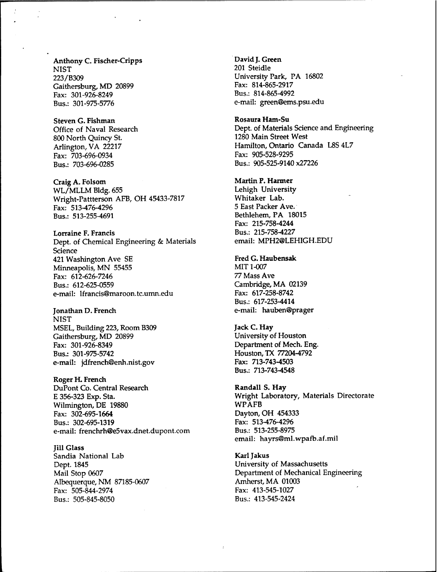Anthony C. Fischer-Cripps **NIST** 223/B309 Gaithersburg, MD 20899 Fax: 301-926-8249 Bus.: 301-975-5776

Steven G. Fishman Office of Naval Research 800 North Quincy St. Arlington, VA 22217 Fax: 703-696-0934 Bus.: 703-696-0285

Craig A. Folsom WL/MLLM Bldg. 655 Wright-Pattterson AFB, OH 45433-7817 Fax: 513^176-4296 Bus.: 513-255-4691

Lorraine F. Francis Dept. of Chemical Engineering & Materials Science 421 Washington Ave SE Minneapolis, MN 55455 Fax: 612-626-7246 Bus.: 612-625-0559 e-mail: lfrancis@maroon.tc.umn.edu

Jonathan D. French NIST MSEL, Building 223, Room B309 Gaithersburg, MD 20899 Fax: 301-926-8349 Bus.: 301-975-5742 e-mail: jdfrench@enh.nist.gov

Roger H. French DuPont Co. Central Research E 356-323 Exp. Sta. Wilmington, DE 19880 Fax: 302-695-1664 Bus.: 302-695-1319 e-mail: frenchrh@e5vax.dnet.dupont.com

Jill Glass Sandia National Lab Dept. 1845 Mail Stop 0607 Albequerque, NM 87185-0607 Fax: 505-844-2974 Bus.: 505-845-8050

David J. Green 201 Steidle University Park, PA 16802 Fax: 814-865-2917 Bus.: 814-865-4992 e-mail: green@ems.psu.edu

Rosaura Ham-Su Dept. of Materials Science and Engineering 1280 Main Street West Hamilton, Ontario Canada L8S 4L7 Fax: 905-528-9295 Bus.: 905-525-9140 x27226

Martin P. Harmer

Lehigh University Whitaker Lab. 5 East Packer Ave. Bethlehem, PA 18015 Fax: 215-758-4244 Bus.: 215-758^227 email: MPH2@LEHIGH.EDU

Fred G. Haubensak MIT 1-007 *77* Mass Ave Cambridge, MA 02139 Fax: 617-258-8742 Bus.: 617-253-4414 e-mail: hauben@prager

Jack C. Hay University of Houston Department of Mech. Eng. Houston, TX 77204-4792 Fax: 713-743-4503 Bus.: 713-743-4548

Randall S. Hay Wright Laboratory, Materials Directorate WPAFB Dayton, OH 454333 Fax: 513-476-4296 Bus.: 513-255-8975 email: hayrs@ml.wpafb.af.mil

Karl Jakus University of Massachusetts Department of Mechanical Engineering Amherst, MA 01003 Fax: 413-545-1027 Bus.: 413-545-2424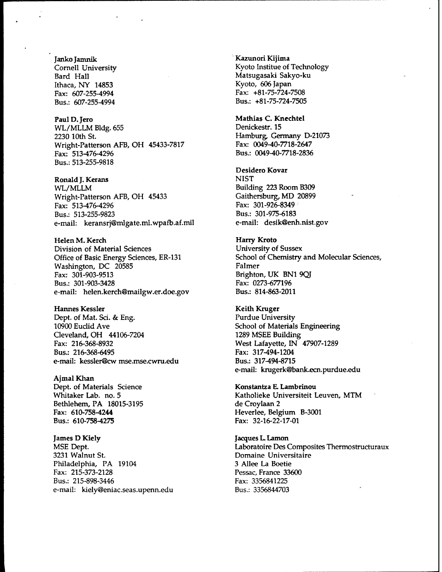Janko Jamnik Cornell University Bard Hall Ithaca, NY 14853 Fax: 607-255-4994 Bus.: 607-255-4994

Paul D.Jero WL/MLLM Bldg. 655 2230 10th St. Wright-Patterson AFB, OH 45433-7817 Fax: 513-476-4296 Bus.: 513-255-9818

Ronald J. Kerans WL/MLLM Wright-Patterson AFB, OH 45433 Fax: 513-476-4296 Bus.: 513-255-9823 e-mail: keransrj@mlgate.ml.wpafb.af.mil

Helen M. Kerch Division of Material Sciences Office of Basic Energy Sciences, ER-131 Washington, DC 20585 Fax: 301-903-9513 Bus.: 301-903-3428 e-mail: helen.kerch@mailgw.er.doe.gov

Hannes Kessler Dept. of Mat. Sci. & Eng. 10900 Euclid Ave Cleveland, OH 44106-7204 Fax: 216-368-8932 Bus.: 216-368-6495 e-mail: kessler@cw mse.mse.cwru.edu

Ajmal Khan Dept. of Materials Science Whitaker Lab. no. 5 Bethlehem, PA 18015-3195 Fax: 610-758-4244 Bus.: 610-758-4275

James D Kiely MSE Dept. 3231 Walnut St. Philadelphia, PA 19104 Fax: 215-373-2128 Bus.: 215-898-3446 e-mail: kiely@eniac.seas.upenn.edu Kazunori Kijima Kyoto Institue of Technology Matsugasaki Sakyo-ku Kyoto, 606 Japan Fax: +81-75-724-7508 Bus.: +81-75-724-7505

Mathias C. Knechtel Denickestr. 15 Hamburg, Germany D-21073 Fax: 0049-40-7718-2647 Bus.: 0049-40-7718-2836

Desidero Kovar **NIST** Building 223 Room B309 Gaithersburg, MD 20899 Fax: 301-926-8349 Bus.: 301-975-6183 e-mail: desik@enh.nist.gov

Harry Kroto University of Sussex School of Chemistry and Molecular Sciences, Falmer Brighton, UK BN1 9QJ Fax: 0273-677196 Bus.: 814-863-2011

Keith Kruger Purdue University School of Materials Engineering 1289 MSEE Building West Lafayette, IN 47907-1289 Fax: 317-494-1204 Bus.: 317-494-8715 e-mail: krugerk@bank.ecn.purdue.edu

Konstantza E. Lambrinou Katholieke Universiteit Leuven, MTM de Croylaan 2 Heverlee, Belgium B-3001 Fax: 32-16-22-17-01

Jacques L. Lamon Laboratoire Des Composites Thermostructuraux Domaine Universitaire 3 Allee La Boetie Pessac, France 33600 Fax: 3356841225 Bus.: 3356844703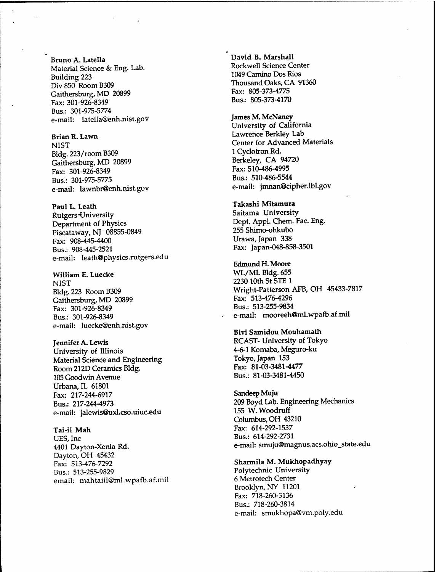Bruno A. Latella Material Science & Eng. Lab. Building 223 Div 850 Room B309 Gaithersburg, MD 20899 Fax: 301-926-8349 Bus.: 301-975-5774 e-mail: latella@enh.nist.gov

Brian R. Lawn **NIST** Bldg.223/roomB309 Gaithersburg, MD 20899 Fax: 301-926-8349 Bus.: 301-975-5775 e-mail: lawnbr@enh.nist.gov

Paul L. Leath Rutgers-University Department of Physics Piscataway, NJ 08855-0849 Fax: 908-445-4400 Bus.: 908-445-2521 e-mail: leath@physics.rutgers.edu

William E. Luecke **NIST** Bldg.223 RoomB309 Gaithersburg, MD 20899 Fax: 301-926-8349 Bus.: 301-926-8349 e-mail: luecke@enh.nist.gov

Jennifer A. Lewis University of Illinois Material Science and Engineering Room 212D Ceramics Bldg. 105 Goodwin Avenue Urbana, IL 61801 Fax: 217-244-6917 Bus.: 217-244-4973 e-mail: jalewis@uxl.cso.uiuc.edu

Tai-il Man UES, Ine 4401 Dayton-Xenia Rd. Dayton, OH 45432 Fax: 513-476-7292 Bus.: 513-255-9829 email: mahtaiil@ml.wpafb.af.mil David B. Marshall Rockwell Science Center 1049 Camino Dos Rios Thousand Oaks, CA 91360 Fax: 805-373-4775 Bus.: 805-373-4170

James M. McNaney University of California Lawrence Berkley Lab Center for Advanced Materials <sup>1</sup> Cyclotron Rd. Berkeley, CA 94720 Fax: 510-486-4995 Bus.: 510-486-5544 e-mail: jmnan@cipher.lbl.gov

Takashi Mitamura Saitama University Dept. Appl. Chem. Fac. Eng. 255 Shimo-ohkubo Urawa, Japan 338 Fax: Japan-048-858-3501

Edmund H. Moore WL/ML Bldg. 655 2230 10th St STE 1 Wright-Patterson AFB, OH 45433-7817 Fax: 513-476-4296 Bus.: 513-255-9834 e-mail: mooreeh@ml.wpafb.af.mil

Bivi Samidou Mouhamath RCAST- University of Tokyo 4-6-1 Komaba, Meguro-ku Tokyo, Japan 153 Fax: 81-03-3481-4477 Bus.: 81-03-3481-4450

Sandeep Muju 209 Boyd Lab. Engineering Mechanics 155 W.Woodruff Columbus, OH 43210 Fax: 614-292-1537 Bus.: 614-292-2731 e-mail: smuju@magnus.acs.ohio\_state.edu

Sharmila M. Mukhopadhyay Polytechnic University 6 Metrotech Center Brooklyn, NY 11201 Fax: 718-260-3136 Bus.: 718-260-3814 e-mail: smukhopa@vm.poly.edu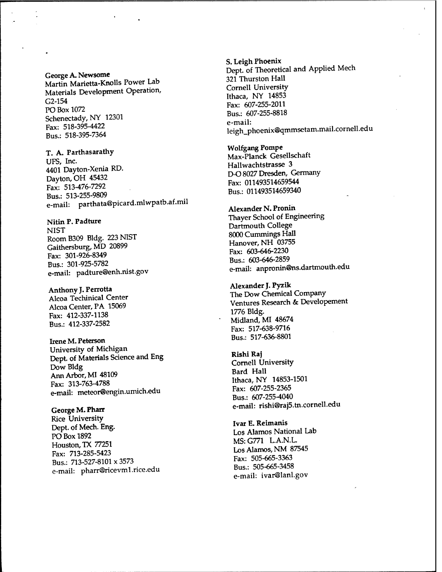### George A. Newsome Martin Marietta-Knolls Power Lab Materials Development Operation, G2-154 PO Box 1072 Schenectady, NY 12301 Fax: 518-395-4422 Bus.: 518-395-7364

T. A. Parthasarathy UFS, Inc. 4401 Dayton-Xenia RD. Dayton, OH 45432 Fax: 513-476-7292 Bus.: 513-255-9809 e-mail: parthata@picard.mlwpatb.af.mil

Nitin P. Padture NIST RoomB309 Bldg. 223 NIST Gaithersburg, MD 20899 Fax: 301-926-8349 Bus.: 301-925-5782 e-mail: padture@enh.nist.gov

Anthony **J.Perrotta** Alcoa Techinical Center Alcoa Center, PA 15069 Fax: 412-337-1138 Bus.: 412-337-2582

Irene M. Peterson University of Michigan Dept. of Materials Science and Eng Dow Bldg Ann Arbor, MI 48109 Fax: 313-763-4788 e-mail: meteor@engin.umich.edu

**George M. Pharr** Rice University Dept. of Mech. Eng. PO Box 1892 Houston, TX 77251 Fax: 713-285-5423 Bus.: 713-527-8101 x 3573 e-mail: pharr@ricevml.rice.edu S. **Leigh Phoenix** Dept. of Theoretical and Applied Mech 321 Thurston Hall Cornell University Ithaca, NY 14853 Fax: 607-255-2011 Bus.: 607-255-8818 e-mail: leigh\_phoenix@qmmsetam.mail.cornell.edu

Wolfgang Pompe Max-Planck Gesellschaft Hallwachtstrasse 3 D-O 8027 Dresden, Germany Fax: 011493514659544 Bus.: 011493514659340

**Alexander** N. **Pronin** Thayer School of Engineering Dartmouth College 8000 Cummings Hall Hanover, NH 03755 Fax: 603-646-2230 Bus.: 603-646-2859 e-mail: anpronin@ns.dartmouth.edu

Alexander J. Pyzik The Dow Chemical Company Ventures Research & Developement 1776 Bldg. Midland, MI 48674 Fax: 517-638-9716 Bus.: 517-636-8801

**Rishi Raj** Cornell University Bard Hall Ithaca, NY 14853-1501 Fax: 607-255-2365 Bus.: 607-255-4040 e-mail: rishi@raj5.tn.cornell.edu

**Ivar E. Reimanis** Los Alamos National Lab MS:G771 L.A.N.L. Los Alamos, NM 87545 Fax: 505-665-3363 Bus.: 505-665-3458 e-mail: ivar@lanl.gov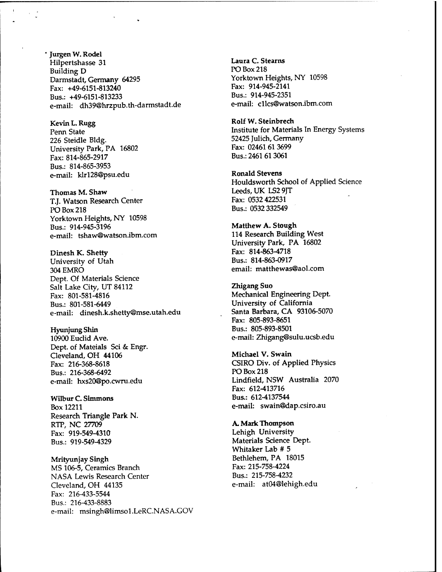Jürgen W. Rodel Hilpertshasse 31 Building D Darmstadt, Germany 64295 Fax: +49-6151-813240 Bus.: +49-6151-813233 e-mail: dh39@hrzpub.th-darmstadt.de

Kevin L. Rugg Penn State 226 Steidle Bldg. University Park, PA 16802 Fax: 814-865-2917 Bus.: 814-865-3953 e-mail: klrl28@psu.edu

Thomas M. Shaw T.J. Watson Research Center PO Box 218 Yorktown Heights, NY 10598 Bus.: 914-945-3196 e-mail: tshaw@watson.ibm.com

Dinesh K. Shetty University of Utah 304EMRO Dept. Of Materials Science Salt Lake City, UT 84112 Fax: 801-581-4816 Bus.: 801-581-6449 e-mail: dinesh.k.shetty@mse.utah.edu

Hyunjung Shin 10900 Euclid Ave. Dept. of Mateials Sei & Engr. Cleveland, OH 44106 Fax: 216-368-8618 Bus.: 216-368-6492 e-mail: hxs20@po.cwru.edu

Wilbur C. Simmons Box 12211 Research Triangle Park N. RTP, NC 27709 Fax: 919-549-4310 Bus.: 919-549-4329

Mrityunjay Singh MS 106-5, Ceramics Branch NASA Lewis Research Center Cleveland, OH 44135 Fax: 216-433-5544 Bus.: 216-433-8883 e-mail: msingh@limsol.LeRC.NASA.GOV Laura C. Stearns PO Box 218 Yorktown Heights, NY 10598 Fax: 914-945-2141 Bus.: 914-945-2351 e-mail: cllcs@watson.ibm.com

Rolf W. Steinbrech Institute for Materials In Energy Systems 52425 Julich, Germany Fax: 02461 61 3699 Bus.: 2461 613061

Ronald Stevens Houldsworth School of Applied Science Leeds, UK LS2 9JT Fax: 0532 422531 Bus.: 0532 332549

Matthew A. Stough 114 Research Building West University Park, PA 16802 Fax: 814-863-4718 Bus.: 814-863-0917 email: matthewas@aol.com

Zhigang Suo Mechanical Engineering Dept. University of California Santa Barbara, CA 93106-5070 Fax: 805-893-8651 Bus.: 805-893-8501 e-mail: Zhigang@sulu.ucsb.edu

Michael V. Swain CSIRO Div. of Applied Physics PO Box 218 Lindfield, NSW Australia 2070 Fax: 612-413716 Bus.: 612-4137544 e-mail: swain@dap.csiro.au

A. Mark Thompson Lehigh University Materials Science Dept. Whitaker Lab # 5 Bethlehem, PA 18015 Fax: 215-758-4224 Bus.: 215-758-4232 e-mail: at04@lehigh.edu